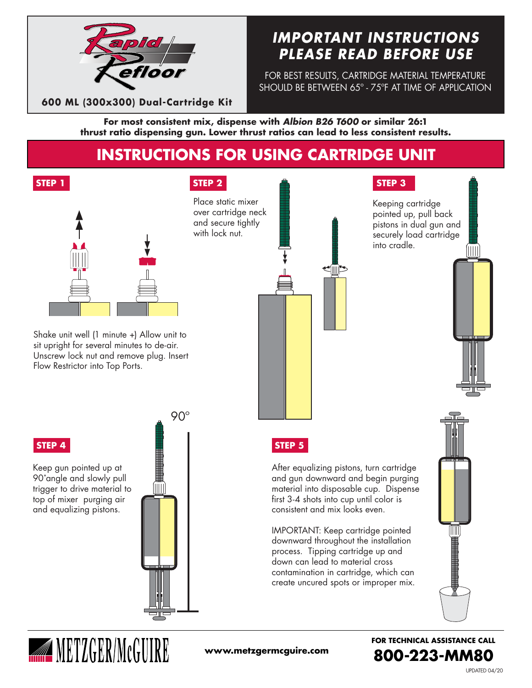

## *IMPORTANT INSTRUCTIONS PLEASE READ BEFORE USE*

FOR BEST RESULTS, CARTRIDGE MATERIAL TEMPERATURE SHOULD BE BETWEEN 65° - 75°F AT TIME OF APPLICATION

**600 ML (300x300) Dual-Cartridge Kit**

**For most consistent mix, dispense with** *Albion B26 T600* **or similar 26:1 thrust ratio dispensing gun. Lower thrust ratios can lead to less consistent results.**

# **INSTRUCTIONS FOR USING CARTRIDGE UNIT**



Shake unit well (1 minute +) Allow unit to sit upright for several minutes to de-air. Unscrew lock nut and remove plug. Insert Flow Restrictor into Top Ports.

Keep gun pointed up at 90˚angle and slowly pull trigger to drive material to top of mixer purging air and equalizing pistons.

**WETZGER/McGUIRE** 



 $90^\circ$ 



Place static mixer over cartridge neck and secure tightly with lock nut.



Keeping cartridge pointed up, pull back pistons in dual gun and securely load cartridge into cradle.



After equalizing pistons, turn cartridge and gun downward and begin purging material into disposable cup. Dispense first 3-4 shots into cup until color is consistent and mix looks even.

IMPORTANT: Keep cartridge pointed downward throughout the installation process. Tipping cartridge up and down can lead to material cross contamination in cartridge, which can create uncured spots or improper mix.



**FOR TECHNICAL ASSISTANCE CALL 800-223-MM80**

**www.metzgermcguire.com**

UPDATED 04/20